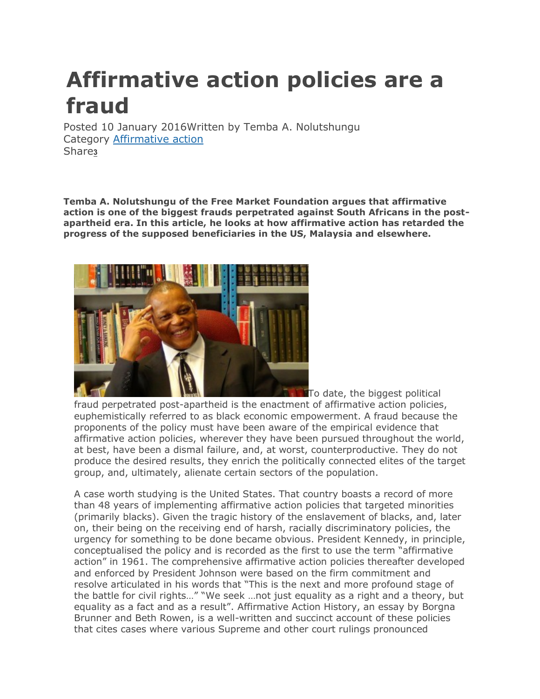## **Affirmative action policies are a fraud**

Posted 10 January 2016Written by Temba A. Nolutshungu Category [Affirmative](http://www.acts.co.za/news/blog/category/affirmative-action) action Share**[3](http://www.acts.co.za/news/)**

**Temba A. Nolutshungu of the Free Market Foundation argues that affirmative action is one of the biggest frauds perpetrated against South Africans in the postapartheid era. In this article, he looks at how affirmative action has retarded the progress of the supposed beneficiaries in the US, Malaysia and elsewhere.**



**To date, the biggest political** fraud perpetrated post-apartheid is the enactment of affirmative action policies, euphemistically referred to as black economic empowerment. A fraud because the proponents of the policy must have been aware of the empirical evidence that affirmative action policies, wherever they have been pursued throughout the world, at best, have been a dismal failure, and, at worst, counterproductive. They do not produce the desired results, they enrich the politically connected elites of the target group, and, ultimately, alienate certain sectors of the population.

A case worth studying is the United States. That country boasts a record of more than 48 years of implementing affirmative action policies that targeted minorities (primarily blacks). Given the tragic history of the enslavement of blacks, and, later on, their being on the receiving end of harsh, racially discriminatory policies, the urgency for something to be done became obvious. President Kennedy, in principle, conceptualised the policy and is recorded as the first to use the term "affirmative action" in 1961. The comprehensive affirmative action policies thereafter developed and enforced by President Johnson were based on the firm commitment and resolve articulated in his words that "This is the next and more profound stage of the battle for civil rights…" "We seek …not just equality as a right and a theory, but equality as a fact and as a result". Affirmative Action History, an essay by Borgna Brunner and Beth Rowen, is a well-written and succinct account of these policies that cites cases where various Supreme and other court rulings pronounced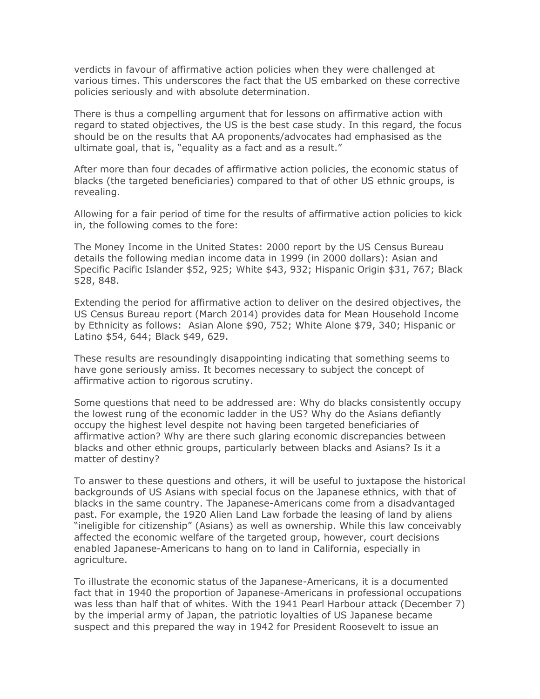verdicts in favour of affirmative action policies when they were challenged at various times. This underscores the fact that the US embarked on these corrective policies seriously and with absolute determination.

There is thus a compelling argument that for lessons on affirmative action with regard to stated objectives, the US is the best case study. In this regard, the focus should be on the results that AA proponents/advocates had emphasised as the ultimate goal, that is, "equality as a fact and as a result."

After more than four decades of affirmative action policies, the economic status of blacks (the targeted beneficiaries) compared to that of other US ethnic groups, is revealing.

Allowing for a fair period of time for the results of affirmative action policies to kick in, the following comes to the fore:

The Money Income in the United States: 2000 report by the US Census Bureau details the following median income data in 1999 (in 2000 dollars): Asian and Specific Pacific Islander \$52, 925; White \$43, 932; Hispanic Origin \$31, 767; Black \$28, 848.

Extending the period for affirmative action to deliver on the desired objectives, the US Census Bureau report (March 2014) provides data for Mean Household Income by Ethnicity as follows: Asian Alone \$90, 752; White Alone \$79, 340; Hispanic or Latino \$54, 644; Black \$49, 629.

These results are resoundingly disappointing indicating that something seems to have gone seriously amiss. It becomes necessary to subject the concept of affirmative action to rigorous scrutiny.

Some questions that need to be addressed are: Why do blacks consistently occupy the lowest rung of the economic ladder in the US? Why do the Asians defiantly occupy the highest level despite not having been targeted beneficiaries of affirmative action? Why are there such glaring economic discrepancies between blacks and other ethnic groups, particularly between blacks and Asians? Is it a matter of destiny?

To answer to these questions and others, it will be useful to juxtapose the historical backgrounds of US Asians with special focus on the Japanese ethnics, with that of blacks in the same country. The Japanese-Americans come from a disadvantaged past. For example, the 1920 Alien Land Law forbade the leasing of land by aliens "ineligible for citizenship" (Asians) as well as ownership. While this law conceivably affected the economic welfare of the targeted group, however, court decisions enabled Japanese-Americans to hang on to land in California, especially in agriculture.

To illustrate the economic status of the Japanese-Americans, it is a documented fact that in 1940 the proportion of Japanese-Americans in professional occupations was less than half that of whites. With the 1941 Pearl Harbour attack (December 7) by the imperial army of Japan, the patriotic loyalties of US Japanese became suspect and this prepared the way in 1942 for President Roosevelt to issue an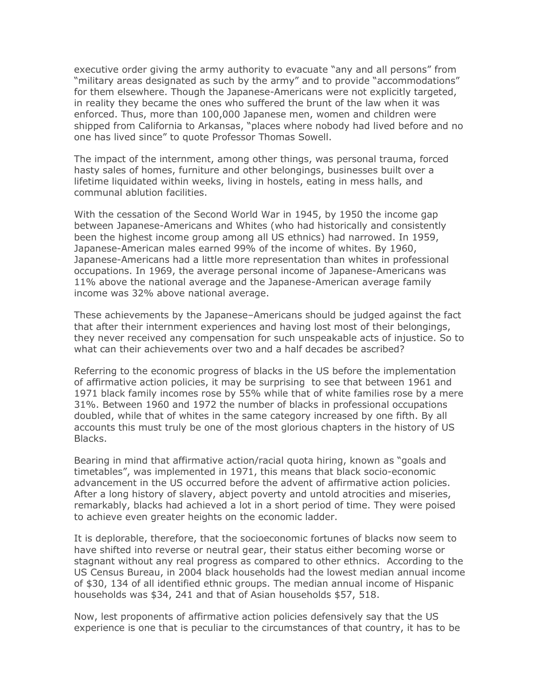executive order giving the army authority to evacuate "any and all persons" from "military areas designated as such by the army" and to provide "accommodations" for them elsewhere. Though the Japanese-Americans were not explicitly targeted, in reality they became the ones who suffered the brunt of the law when it was enforced. Thus, more than 100,000 Japanese men, women and children were shipped from California to Arkansas, "places where nobody had lived before and no one has lived since" to quote Professor Thomas Sowell.

The impact of the internment, among other things, was personal trauma, forced hasty sales of homes, furniture and other belongings, businesses built over a lifetime liquidated within weeks, living in hostels, eating in mess halls, and communal ablution facilities.

With the cessation of the Second World War in 1945, by 1950 the income gap between Japanese-Americans and Whites (who had historically and consistently been the highest income group among all US ethnics) had narrowed. In 1959, Japanese-American males earned 99% of the income of whites. By 1960, Japanese-Americans had a little more representation than whites in professional occupations. In 1969, the average personal income of Japanese-Americans was 11% above the national average and the Japanese-American average family income was 32% above national average.

These achievements by the Japanese–Americans should be judged against the fact that after their internment experiences and having lost most of their belongings, they never received any compensation for such unspeakable acts of injustice. So to what can their achievements over two and a half decades be ascribed?

Referring to the economic progress of blacks in the US before the implementation of affirmative action policies, it may be surprising to see that between 1961 and 1971 black family incomes rose by 55% while that of white families rose by a mere 31%. Between 1960 and 1972 the number of blacks in professional occupations doubled, while that of whites in the same category increased by one fifth. By all accounts this must truly be one of the most glorious chapters in the history of US Blacks.

Bearing in mind that affirmative action/racial quota hiring, known as "goals and timetables", was implemented in 1971, this means that black socio-economic advancement in the US occurred before the advent of affirmative action policies. After a long history of slavery, abject poverty and untold atrocities and miseries, remarkably, blacks had achieved a lot in a short period of time. They were poised to achieve even greater heights on the economic ladder.

It is deplorable, therefore, that the socioeconomic fortunes of blacks now seem to have shifted into reverse or neutral gear, their status either becoming worse or stagnant without any real progress as compared to other ethnics. According to the US Census Bureau, in 2004 black households had the lowest median annual income of \$30, 134 of all identified ethnic groups. The median annual income of Hispanic households was \$34, 241 and that of Asian households \$57, 518.

Now, lest proponents of affirmative action policies defensively say that the US experience is one that is peculiar to the circumstances of that country, it has to be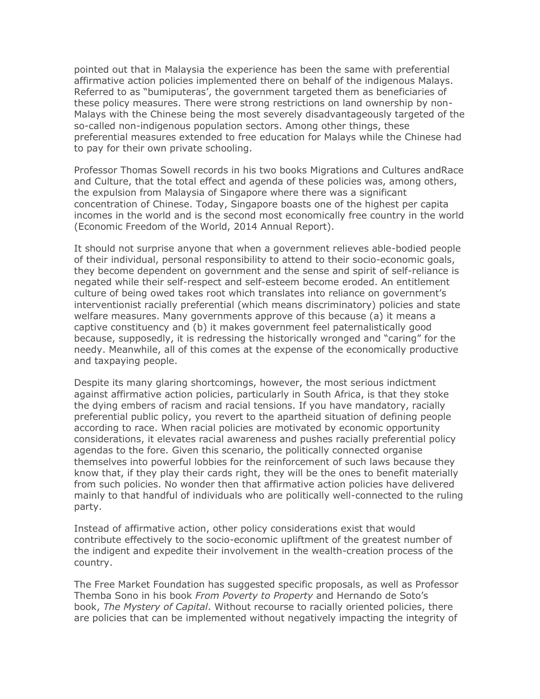pointed out that in Malaysia the experience has been the same with preferential affirmative action policies implemented there on behalf of the indigenous Malays. Referred to as "bumiputeras', the government targeted them as beneficiaries of these policy measures. There were strong restrictions on land ownership by non-Malays with the Chinese being the most severely disadvantageously targeted of the so-called non-indigenous population sectors. Among other things, these preferential measures extended to free education for Malays while the Chinese had to pay for their own private schooling.

Professor Thomas Sowell records in his two books Migrations and Cultures andRace and Culture, that the total effect and agenda of these policies was, among others, the expulsion from Malaysia of Singapore where there was a significant concentration of Chinese. Today, Singapore boasts one of the highest per capita incomes in the world and is the second most economically free country in the world (Economic Freedom of the World, 2014 Annual Report).

It should not surprise anyone that when a government relieves able-bodied people of their individual, personal responsibility to attend to their socio-economic goals, they become dependent on government and the sense and spirit of self-reliance is negated while their self-respect and self-esteem become eroded. An entitlement culture of being owed takes root which translates into reliance on government's interventionist racially preferential (which means discriminatory) policies and state welfare measures. Many governments approve of this because (a) it means a captive constituency and (b) it makes government feel paternalistically good because, supposedly, it is redressing the historically wronged and "caring" for the needy. Meanwhile, all of this comes at the expense of the economically productive and taxpaying people.

Despite its many glaring shortcomings, however, the most serious indictment against affirmative action policies, particularly in South Africa, is that they stoke the dying embers of racism and racial tensions. If you have mandatory, racially preferential public policy, you revert to the apartheid situation of defining people according to race. When racial policies are motivated by economic opportunity considerations, it elevates racial awareness and pushes racially preferential policy agendas to the fore. Given this scenario, the politically connected organise themselves into powerful lobbies for the reinforcement of such laws because they know that, if they play their cards right, they will be the ones to benefit materially from such policies. No wonder then that affirmative action policies have delivered mainly to that handful of individuals who are politically well-connected to the ruling party.

Instead of affirmative action, other policy considerations exist that would contribute effectively to the socio-economic upliftment of the greatest number of the indigent and expedite their involvement in the wealth-creation process of the country.

The Free Market Foundation has suggested specific proposals, as well as Professor Themba Sono in his book *From Poverty to Property* and Hernando de Soto's book, *The Mystery of Capital*. Without recourse to racially oriented policies, there are policies that can be implemented without negatively impacting the integrity of